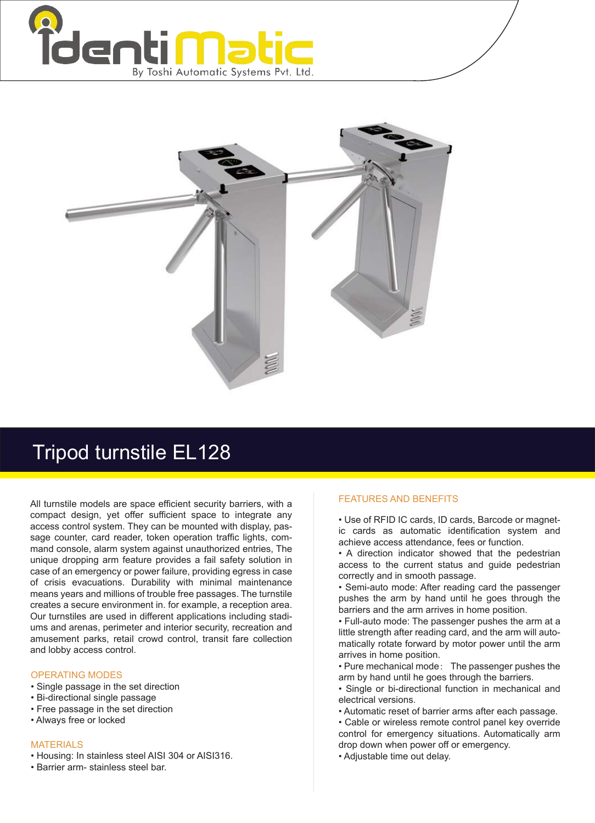



## Tripod turnstile EL128

All turnstile models are space efficient security barriers, with a compact design, yet offer sufficient space to integrate any access control system. They can be mounted with display, passage counter, card reader, token operation traffic lights, command console, alarm system against unauthorized entries, The unique dropping arm feature provides a fail safety solution in case of an emergency or power failure, providing egress in case of crisis evacuations. Durability with minimal maintenance means years and millions of trouble free passages. The turnstile creates a secure environment in. for example, a reception area. Our turnstiles are used in different applications including stadiums and arenas, perimeter and interior security, recreation and amusement parks, retail crowd control, transit fare collection and lobby access control.

## OPERATING MODES

- Single passage in the set direction
- Bi-directional single passage
- Free passage in the set direction
- Always free or locked

## MATERIALS

- Housing: In stainless steel AISI 304 or AISI316.
- Barrier arm- stainless steel bar.

## FEATURES AND BENEFITS

• Use of RFID IC cards, ID cards, Barcode or magnetic cards as automatic identification system and achieve access attendance, fees or function.

• A direction indicator showed that the pedestrian access to the current status and guide pedestrian correctly and in smooth passage.

• Semi-auto mode: After reading card the passenger pushes the arm by hand until he goes through the barriers and the arm arrives in home position.

• Full-auto mode: The passenger pushes the arm at a little strength after reading card, and the arm will automatically rotate forward by motor power until the arm arrives in home position.

• Pure mechanical mode: The passenger pushes the arm by hand until he goes through the barriers.

• Single or bi-directional function in mechanical and electrical versions.

• Automatic reset of barrier arms after each passage.

• Cable or wireless remote control panel key override control for emergency situations. Automatically arm drop down when power off or emergency.

• Adjustable time out delay.